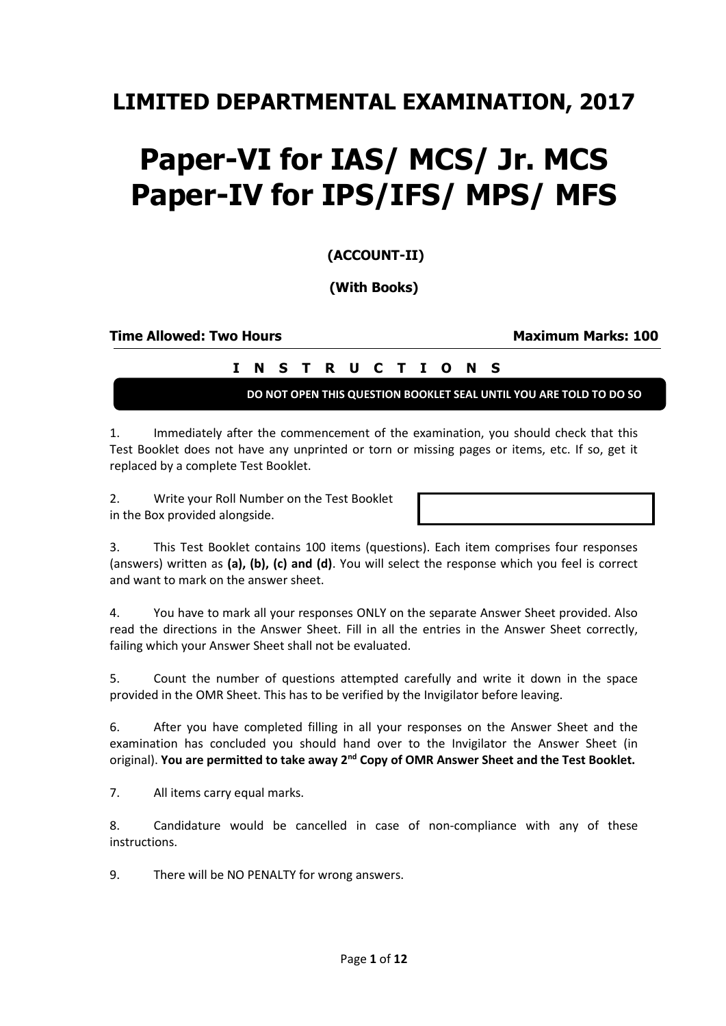## **LIMITED DEPARTMENTAL EXAMINATION, 2017**

## **Paper-VI for IAS/ MCS/ Jr. MCS Paper-IV for IPS/IFS/ MPS/ MFS**

**(ACCOUNT-II)**

**(With Books)**

**Time Allowed: Two Hours Maximum Marks: 100**

## **I N S T R U C T I O N S**

**DO NOT OPEN THIS QUESTION BOOKLET SEAL UNTIL YOU ARE TOLD TO DO SO**

1. Immediately after the commencement of the examination, you should check that this Test Booklet does not have any unprinted or torn or missing pages or items, etc. If so, get it replaced by a complete Test Booklet.

2. Write your Roll Number on the Test Booklet in the Box provided alongside.

| 3. |  | This Test Booklet contains 100 items (questions). Each item comprises four responses               |  |  |  |  |
|----|--|----------------------------------------------------------------------------------------------------|--|--|--|--|
|    |  | (answers) written as (a), (b), (c) and (d). You will select the response which you feel is correct |  |  |  |  |
|    |  | and want to mark on the answer sheet.                                                              |  |  |  |  |

4. You have to mark all your responses ONLY on the separate Answer Sheet provided. Also read the directions in the Answer Sheet. Fill in all the entries in the Answer Sheet correctly, failing which your Answer Sheet shall not be evaluated.

5. Count the number of questions attempted carefully and write it down in the space provided in the OMR Sheet. This has to be verified by the Invigilator before leaving.

6. After you have completed filling in all your responses on the Answer Sheet and the examination has concluded you should hand over to the Invigilator the Answer Sheet (in original). **You are permitted to take away 2nd Copy of OMR Answer Sheet and the Test Booklet.**

7. All items carry equal marks.

8. Candidature would be cancelled in case of non-compliance with any of these instructions.

9. There will be NO PENALTY for wrong answers.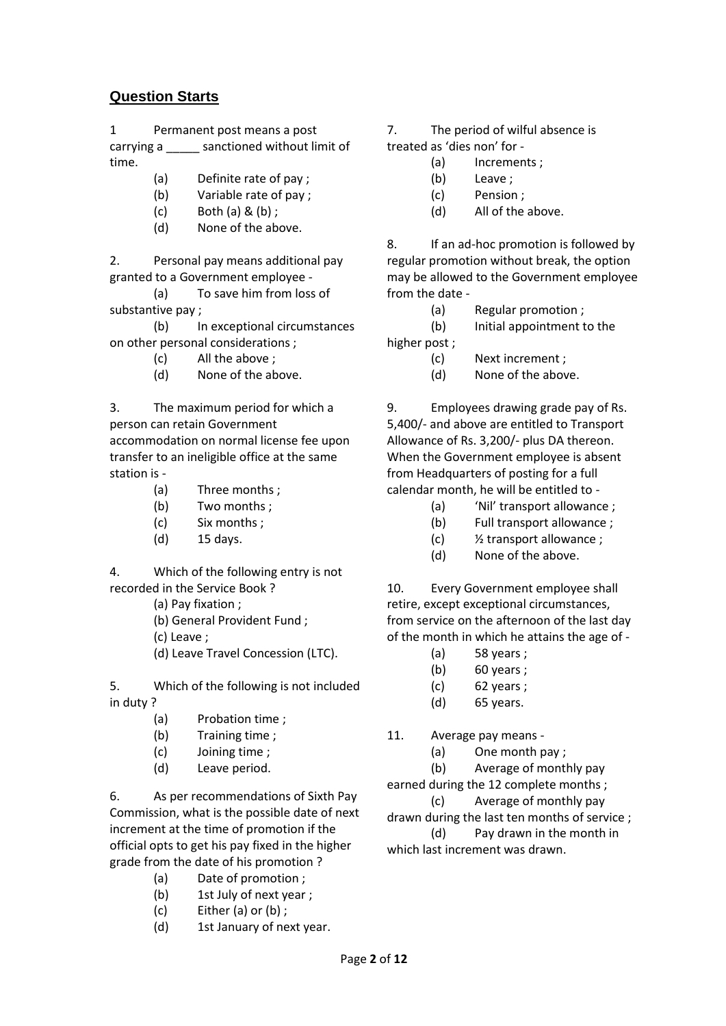## **Question Starts**

1 Permanent post means a post carrying a \_\_\_\_\_ sanctioned without limit of time.

- (a) Definite rate of pay ;
- (b) Variable rate of pay ;
- $(c)$  Both  $(a)$  &  $(b)$  :
- (d) None of the above.

2. Personal pay means additional pay granted to a Government employee -

(a) To save him from loss of substantive pay ;

(b) In exceptional circumstances on other personal considerations ;

- (c) All the above ;
- (d) None of the above.

3. The maximum period for which a person can retain Government accommodation on normal license fee upon transfer to an ineligible office at the same station is -

- (a) Three months ;
- (b) Two months ;
- (c) Six months ;
- (d) 15 days.

4. Which of the following entry is not recorded in the Service Book ?

- (a) Pay fixation ;
- (b) General Provident Fund ;
- (c) Leave ;
- (d) Leave Travel Concession (LTC).

5. Which of the following is not included in duty ?

- (a) Probation time ;
- (b) Training time ;
- (c) Joining time ;
- (d) Leave period.

6. As per recommendations of Sixth Pay Commission, what is the possible date of next increment at the time of promotion if the official opts to get his pay fixed in the higher grade from the date of his promotion ?

- (a) Date of promotion ;
- (b) 1st July of next year ;
- (c) Either (a) or (b) ;
- (d) 1st January of next year.
- 7. The period of wilful absence is
- treated as 'dies non' for
	- (a) Increments ;
	- (b) Leave ;
	- (c) Pension ;
	- (d) All of the above.

8. If an ad-hoc promotion is followed by regular promotion without break, the option may be allowed to the Government employee from the date -

- (a) Regular promotion ;
- (b) Initial appointment to the

higher post ;

- (c) Next increment ;
- (d) None of the above.

9. Employees drawing grade pay of Rs. 5,400/- and above are entitled to Transport Allowance of Rs. 3,200/- plus DA thereon. When the Government employee is absent from Headquarters of posting for a full calendar month, he will be entitled to -

- (a) 'Nil' transport allowance ;
- (b) Full transport allowance ;
- (c) ½ transport allowance ;
- (d) None of the above.

10. Every Government employee shall retire, except exceptional circumstances, from service on the afternoon of the last day of the month in which he attains the age of -

- (a) 58 years ;
- (b) 60 years ;
- (c) 62 years ;
- (d) 65 years.
- 11. Average pay means
	- (a) One month pay ;
	- (b) Average of monthly pay

earned during the 12 complete months ;

(c) Average of monthly pay

drawn during the last ten months of service ;

(d) Pay drawn in the month in which last increment was drawn.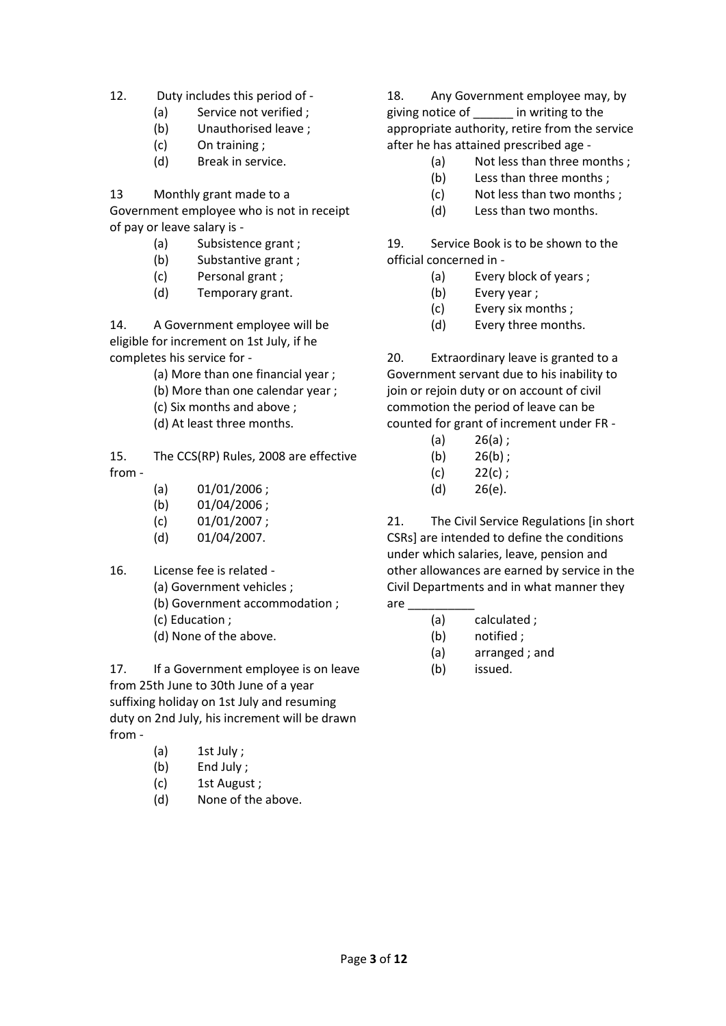12. Duty includes this period of -

- (a) Service not verified ;
- (b) Unauthorised leave ;
- (c) On training ;
- (d) Break in service.

13 Monthly grant made to a

Government employee who is not in receipt of pay or leave salary is -

- (a) Subsistence grant ;
- (b) Substantive grant ;
- (c) Personal grant ;
- (d) Temporary grant.

14. A Government employee will be eligible for increment on 1st July, if he completes his service for -

(a) More than one financial year ;

- (b) More than one calendar year ;
- (c) Six months and above ;
- (d) At least three months.

15. The CCS(RP) Rules, 2008 are effective from -

- $(a)$  01/01/2006 ;
- (b) 01/04/2006 ;
- (c) 01/01/2007 ;
- (d) 01/04/2007.
- 16. License fee is related
	- (a) Government vehicles ;
	- (b) Government accommodation ;
	- (c) Education ;
	- (d) None of the above.

17. If a Government employee is on leave from 25th June to 30th June of a year suffixing holiday on 1st July and resuming duty on 2nd July, his increment will be drawn from -

- (a) 1st July ;
- (b) End July ;
- (c) 1st August ;
- (d) None of the above.

18. Any Government employee may, by giving notice of \_\_\_\_\_\_ in writing to the appropriate authority, retire from the service after he has attained prescribed age -

- (a) Not less than three months ;
- (b) Less than three months ;
- (c) Not less than two months ;
- (d) Less than two months.

19. Service Book is to be shown to the official concerned in -

- (a) Every block of years ;
- (b) Every year ;
- (c) Every six months ;
- (d) Every three months.

20. Extraordinary leave is granted to a Government servant due to his inability to join or rejoin duty or on account of civil commotion the period of leave can be counted for grant of increment under FR -

- $(a)$  26(a);
- $(b)$  26(b);
- $(c)$  22(c);
- (d) 26(e).

21. The Civil Service Regulations [in short CSRs] are intended to define the conditions under which salaries, leave, pension and other allowances are earned by service in the Civil Departments and in what manner they are \_\_\_\_\_\_\_\_\_\_

- (a) calculated ;
	- (b) notified ;
	- (a) arranged ; and
	- (b) issued.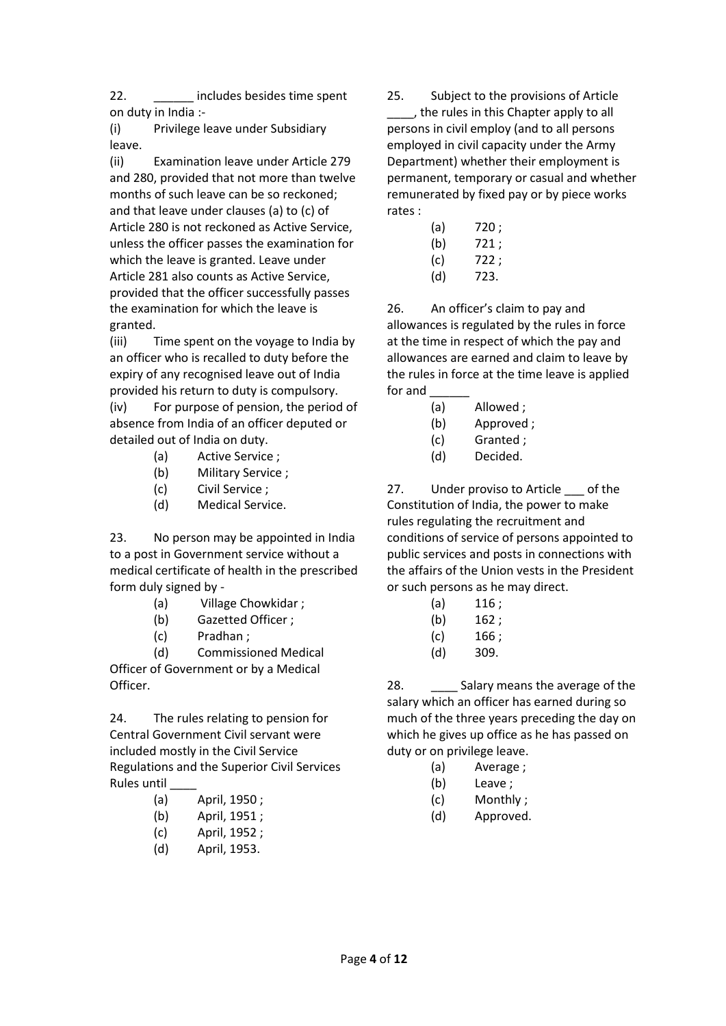22. **Example 22.** Includes besides time spent on duty in India :-

(i) Privilege leave under Subsidiary leave.

(ii) Examination leave under Article 279 and 280, provided that not more than twelve months of such leave can be so reckoned; and that leave under clauses (a) to (c) of Article 280 is not reckoned as Active Service, unless the officer passes the examination for which the leave is granted. Leave under Article 281 also counts as Active Service, provided that the officer successfully passes the examination for which the leave is granted.

(iii) Time spent on the voyage to India by an officer who is recalled to duty before the expiry of any recognised leave out of India provided his return to duty is compulsory.

(iv) For purpose of pension, the period of absence from India of an officer deputed or detailed out of India on duty.

- (a) Active Service ;
- (b) Military Service ;
- (c) Civil Service ;
- (d) Medical Service.

23. No person may be appointed in India to a post in Government service without a medical certificate of health in the prescribed form duly signed by -

- (a) Village Chowkidar ;
- (b) Gazetted Officer ;
- (c) Pradhan ;

(d) Commissioned Medical Officer of Government or by a Medical

Officer.

24. The rules relating to pension for Central Government Civil servant were included mostly in the Civil Service Regulations and the Superior Civil Services Rules until \_\_\_\_

- (a) April, 1950 ;
- (b) April, 1951 ;
- (c) April, 1952 ;
- (d) April, 1953.

25. Subject to the provisions of Article \_\_\_\_, the rules in this Chapter apply to all persons in civil employ (and to all persons employed in civil capacity under the Army Department) whether their employment is permanent, temporary or casual and whether remunerated by fixed pay or by piece works rates :

- (a) 720 ;
- (b) 721 ;
- (c) 722 ;
- (d) 723.

26. An officer's claim to pay and allowances is regulated by the rules in force at the time in respect of which the pay and allowances are earned and claim to leave by the rules in force at the time leave is applied for and

- (a) Allowed ;
- (b) Approved ;
- (c) Granted ;
- (d) Decided.

27. Under proviso to Article of the Constitution of India, the power to make rules regulating the recruitment and conditions of service of persons appointed to public services and posts in connections with the affairs of the Union vests in the President or such persons as he may direct.

- $(a)$  116;
- (b) 162 ;
- $(c)$  166;
- (d) 309.

28. Salary means the average of the salary which an officer has earned during so much of the three years preceding the day on which he gives up office as he has passed on duty or on privilege leave.

- (a) Average ;
- (b) Leave ;
- (c) Monthly ;
- (d) Approved.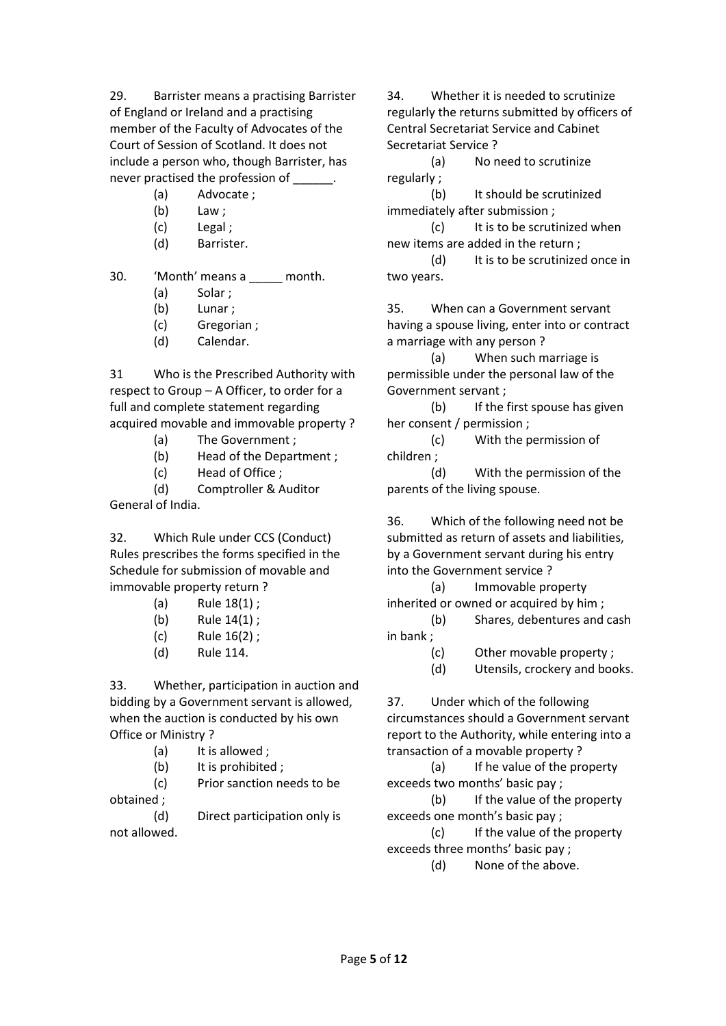29. Barrister means a practising Barrister of England or Ireland and a practising member of the Faculty of Advocates of the Court of Session of Scotland. It does not include a person who, though Barrister, has never practised the profession of

- (a) Advocate ;
- (b) Law :
- (c) Legal ;
- (d) Barrister.

30. 'Month' means a \_\_\_\_ month.

- (a) Solar ;
- (b) Lunar ;
- (c) Gregorian ;
- (d) Calendar.

31 Who is the Prescribed Authority with respect to Group – A Officer, to order for a full and complete statement regarding acquired movable and immovable property?

- (a) The Government ;
- (b) Head of the Department ;
- (c) Head of Office ;

(d) Comptroller & Auditor General of India.

32. Which Rule under CCS (Conduct) Rules prescribes the forms specified in the Schedule for submission of movable and immovable property return ?

- (a) Rule 18(1) ;
- (b) Rule 14(1) ;
- (c) Rule 16(2) ;
- (d) Rule 114.

33. Whether, participation in auction and bidding by a Government servant is allowed, when the auction is conducted by his own Office or Ministry ?

- (a) It is allowed ;
- (b) It is prohibited :

(c) Prior sanction needs to be obtained ;

(d) Direct participation only is not allowed.

34. Whether it is needed to scrutinize regularly the returns submitted by officers of Central Secretariat Service and Cabinet Secretariat Service ?

(a) No need to scrutinize regularly ;

(b) It should be scrutinized immediately after submission ;

(c) It is to be scrutinized when new items are added in the return ;

(d) It is to be scrutinized once in two years.

35. When can a Government servant having a spouse living, enter into or contract a marriage with any person ?

(a) When such marriage is permissible under the personal law of the Government servant ;

(b) If the first spouse has given her consent / permission ;

(c) With the permission of children ;

(d) With the permission of the parents of the living spouse.

36. Which of the following need not be submitted as return of assets and liabilities, by a Government servant during his entry into the Government service ?

(a) Immovable property inherited or owned or acquired by him ;

(b) Shares, debentures and cash in bank ;

- (c) Other movable property ;
- (d) Utensils, crockery and books.

37. Under which of the following circumstances should a Government servant report to the Authority, while entering into a transaction of a movable property ?

(a) If he value of the property exceeds two months' basic pay ;

(b) If the value of the property exceeds one month's basic pay ;

(c) If the value of the property exceeds three months' basic pay ;

(d) None of the above.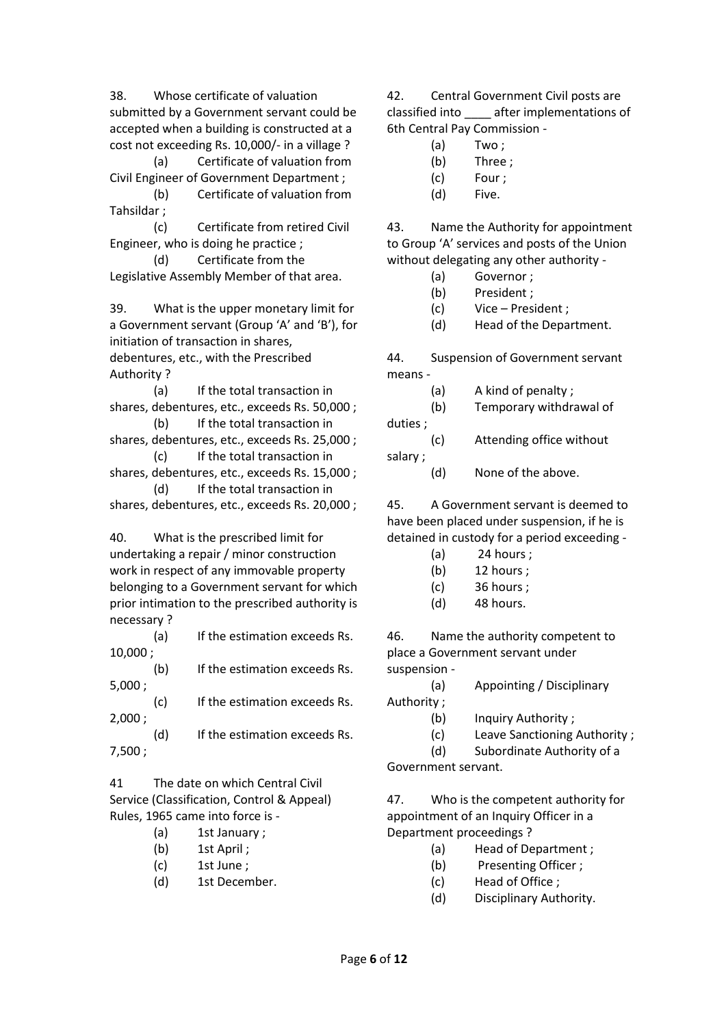38. Whose certificate of valuation submitted by a Government servant could be accepted when a building is constructed at a cost not exceeding Rs. 10,000/- in a village ?

(a) Certificate of valuation from Civil Engineer of Government Department ;

(b) Certificate of valuation from Tahsildar ;

(c) Certificate from retired Civil Engineer, who is doing he practice ;

(d) Certificate from the Legislative Assembly Member of that area.

39. What is the upper monetary limit for a Government servant (Group 'A' and 'B'), for initiation of transaction in shares, debentures, etc., with the Prescribed Authority ?

(a) If the total transaction in shares, debentures, etc., exceeds Rs. 50,000 ;

(b) If the total transaction in shares, debentures, etc., exceeds Rs. 25,000 ;

(c) If the total transaction in shares, debentures, etc., exceeds Rs. 15,000 ; (d) If the total transaction in

shares, debentures, etc., exceeds Rs. 20,000 ;

40. What is the prescribed limit for undertaking a repair / minor construction work in respect of any immovable property belonging to a Government servant for which prior intimation to the prescribed authority is necessary ?

(a) If the estimation exceeds Rs. 10,000 ;

(b) If the estimation exceeds Rs. 5,000 ;

(c) If the estimation exceeds Rs. 2,000 ;

(d) If the estimation exceeds Rs. 7,500 ;

41 The date on which Central Civil Service (Classification, Control & Appeal) Rules, 1965 came into force is -

- (a) 1st January ;
- (b) 1st April ;
- (c) 1st June ;
- (d) 1st December.

42. Central Government Civil posts are classified into \_\_\_\_ after implementations of 6th Central Pay Commission -

- (a) Two ;
- (b) Three ;
- (c) Four ;
- (d) Five.

43. Name the Authority for appointment to Group 'A' services and posts of the Union without delegating any other authority -

- (a) Governor ;
- (b) President ;
- (c) Vice President ;
- (d) Head of the Department.

44. Suspension of Government servant means -

| (a)     | A kind of penalty;       |
|---------|--------------------------|
| (b)     | Temporary withdrawal of  |
| duties; |                          |
| (c)     | Attending office without |
| salary; |                          |

(d) None of the above.

45. A Government servant is deemed to have been placed under suspension, if he is detained in custody for a period exceeding -

- (a) 24 hours ;
- (b) 12 hours ;
- (c) 36 hours ;
- (d) 48 hours.

46. Name the authority competent to place a Government servant under suspension -

- (a) Appointing / Disciplinary
- Authority ;
	- (b) Inquiry Authority ;
	- (c) Leave Sanctioning Authority ;

(d) Subordinate Authority of a

Government servant.

47. Who is the competent authority for appointment of an Inquiry Officer in a Department proceedings ?

- (a) Head of Department ;
- (b) Presenting Officer ;
- (c) Head of Office ;
- (d) Disciplinary Authority.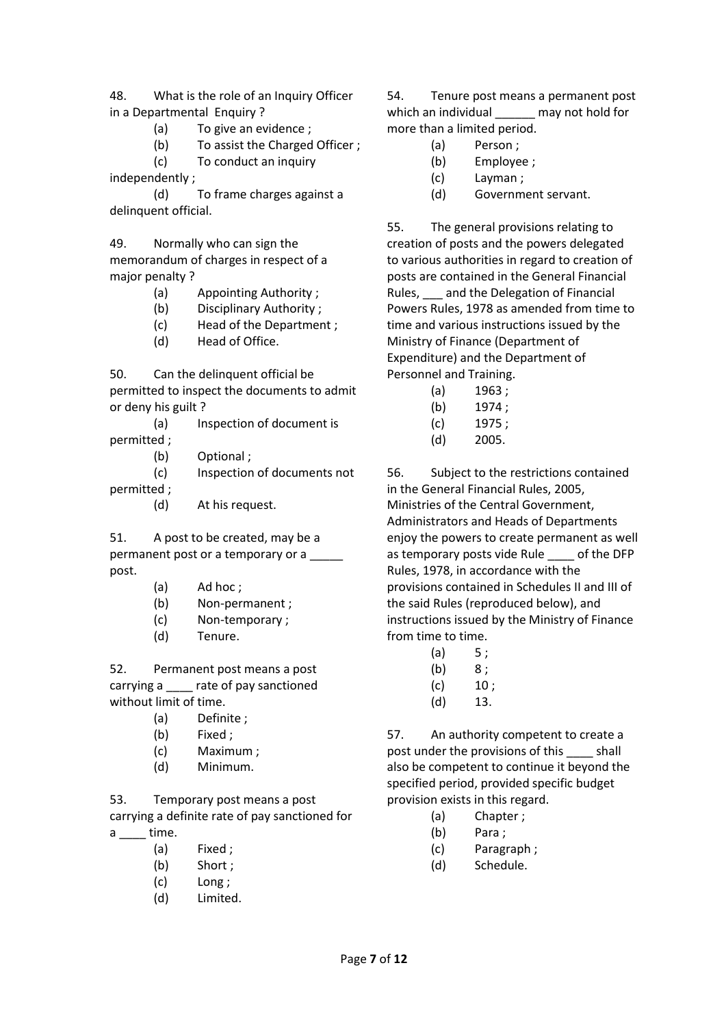48. What is the role of an Inquiry Officer in a Departmental Enquiry ?

- (a) To give an evidence ;
- (b) To assist the Charged Officer ;

(c) To conduct an inquiry

independently ;

(d) To frame charges against a delinquent official.

49. Normally who can sign the memorandum of charges in respect of a major penalty ?

- (a) Appointing Authority ;
- (b) Disciplinary Authority ;
- (c) Head of the Department ;
- (d) Head of Office.

50. Can the delinquent official be permitted to inspect the documents to admit or deny his guilt ?

(a) Inspection of document is permitted ;

(b) Optional ;

(c) Inspection of documents not

permitted ;

(d) At his request.

51. A post to be created, may be a permanent post or a temporary or a post.

- (a) Ad hoc ;
- (b) Non-permanent ;
- (c) Non-temporary ;
- (d) Tenure.

52. Permanent post means a post carrying a \_\_\_\_\_ rate of pay sanctioned without limit of time.

- (a) Definite ;
- (b) Fixed ;
- (c) Maximum ;
- (d) Minimum.

53. Temporary post means a post carrying a definite rate of pay sanctioned for  $a$  \_\_\_\_ time.

- (a) Fixed ;
- (b) Short ;
- (c) Long ;
- (d) Limited.

54. Tenure post means a permanent post which an individual may not hold for more than a limited period.

- (a) Person ;
- (b) Employee ;
- (c) Layman ;
- (d) Government servant.

55. The general provisions relating to creation of posts and the powers delegated to various authorities in regard to creation of posts are contained in the General Financial Rules, \_\_\_ and the Delegation of Financial Powers Rules, 1978 as amended from time to time and various instructions issued by the Ministry of Finance (Department of Expenditure) and the Department of Personnel and Training.

- (a) 1963 ;
- (b) 1974 ;
- (c) 1975 ;
- (d) 2005.

56. Subject to the restrictions contained in the General Financial Rules, 2005, Ministries of the Central Government, Administrators and Heads of Departments enjoy the powers to create permanent as well as temporary posts vide Rule of the DFP Rules, 1978, in accordance with the provisions contained in Schedules II and III of the said Rules (reproduced below), and instructions issued by the Ministry of Finance from time to time.

- $(a) 5;$
- $(b) 8;$
- $(c)$  10;
- (d) 13.

57. An authority competent to create a post under the provisions of this \_\_\_\_ shall also be competent to continue it beyond the specified period, provided specific budget provision exists in this regard.

- (a) Chapter ;
- (b) Para ;
- (c) Paragraph ;
- (d) Schedule.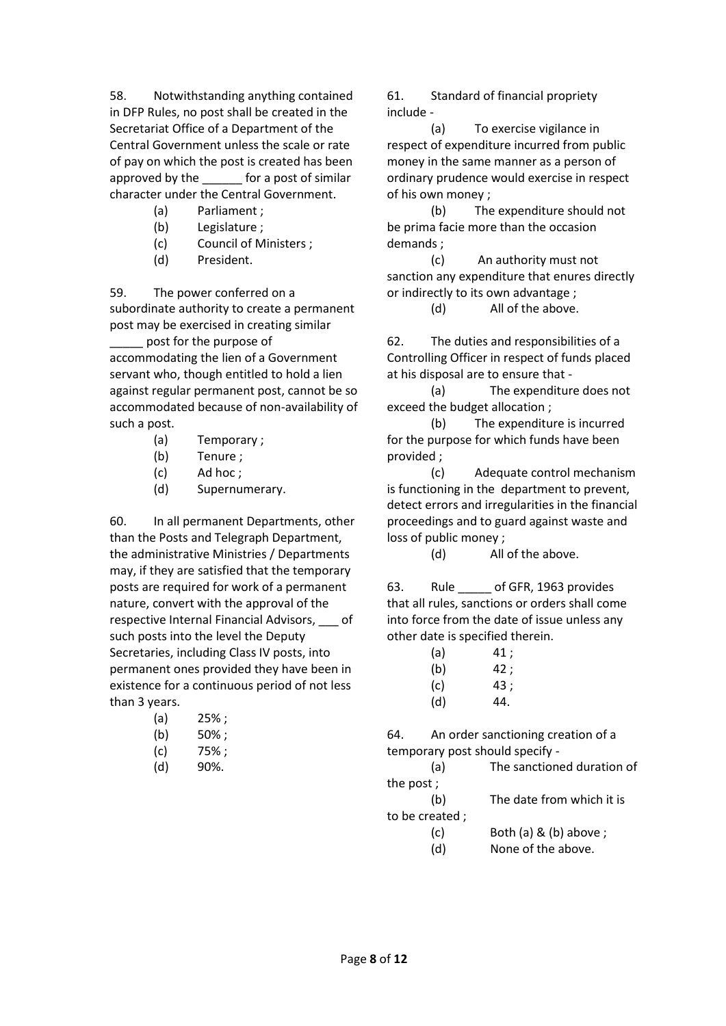58. Notwithstanding anything contained in DFP Rules, no post shall be created in the Secretariat Office of a Department of the Central Government unless the scale or rate of pay on which the post is created has been approved by the \_\_\_\_\_\_ for a post of similar character under the Central Government.

- (a) Parliament ;
- (b) Legislature ;
- (c) Council of Ministers ;
- (d) President.

59. The power conferred on a subordinate authority to create a permanent post may be exercised in creating similar

post for the purpose of accommodating the lien of a Government servant who, though entitled to hold a lien against regular permanent post, cannot be so accommodated because of non-availability of such a post.

- (a) Temporary ;
- (b) Tenure ;
- (c) Ad hoc ;
- (d) Supernumerary.

60. In all permanent Departments, other than the Posts and Telegraph Department, the administrative Ministries / Departments may, if they are satisfied that the temporary posts are required for work of a permanent nature, convert with the approval of the respective Internal Financial Advisors, \_\_\_ of such posts into the level the Deputy Secretaries, including Class IV posts, into permanent ones provided they have been in existence for a continuous period of not less than 3 years.

- $(a)$  25%;
- $(b)$  50%;
- (c) 75% ;
- (d) 90%.

61. Standard of financial propriety include -

(a) To exercise vigilance in respect of expenditure incurred from public money in the same manner as a person of ordinary prudence would exercise in respect of his own money ;

(b) The expenditure should not be prima facie more than the occasion demands ;

(c) An authority must not sanction any expenditure that enures directly or indirectly to its own advantage ;

(d) All of the above.

62. The duties and responsibilities of a Controlling Officer in respect of funds placed at his disposal are to ensure that -

(a) The expenditure does not exceed the budget allocation ;

(b) The expenditure is incurred for the purpose for which funds have been provided ;

(c) Adequate control mechanism is functioning in the department to prevent, detect errors and irregularities in the financial proceedings and to guard against waste and loss of public money ;

(d) All of the above.

63. Rule of GFR, 1963 provides that all rules, sanctions or orders shall come into force from the date of issue unless any other date is specified therein.

- $(a)$  41;  $(b)$  42;
- $(c)$  43;
- (d) 44.

64. An order sanctioning creation of a temporary post should specify -

(a) The sanctioned duration of the post ;

(b) The date from which it is to be created ;

- (c) Both (a) & (b) above ;
- (d) None of the above.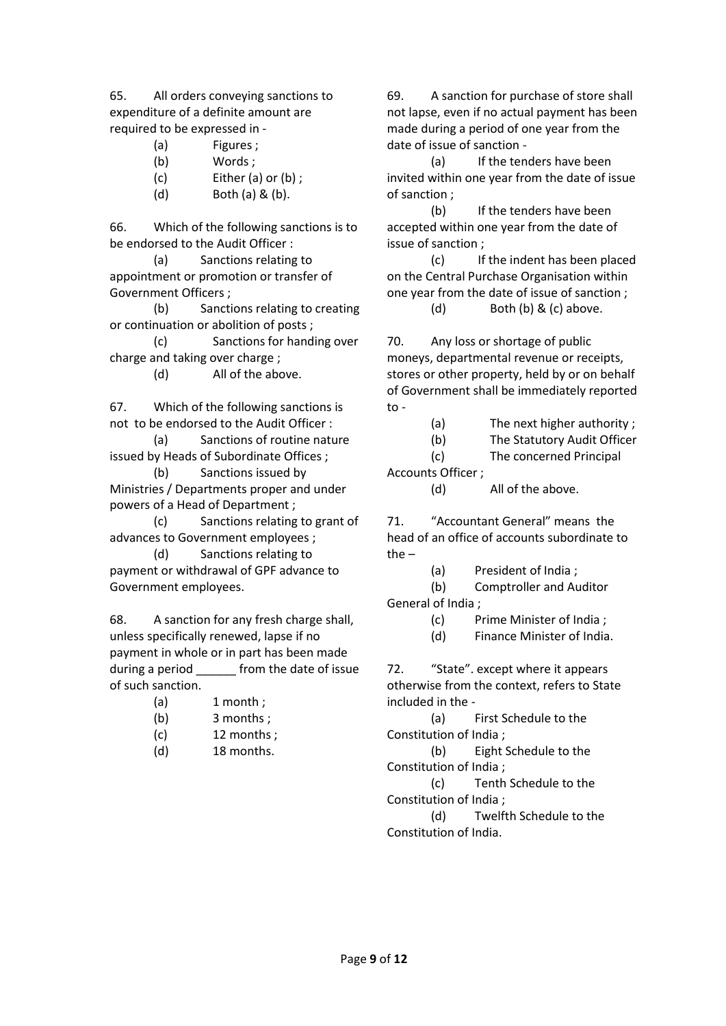65. All orders conveying sanctions to expenditure of a definite amount are required to be expressed in -

- (a) Figures ;
- (b) Words ;
- (c) Either (a) or (b) ;
- (d) Both (a) & (b).

66. Which of the following sanctions is to be endorsed to the Audit Officer :

(a) Sanctions relating to appointment or promotion or transfer of Government Officers ;

(b) Sanctions relating to creating or continuation or abolition of posts ;

(c) Sanctions for handing over charge and taking over charge ;

(d) All of the above.

67. Which of the following sanctions is not to be endorsed to the Audit Officer :

(a) Sanctions of routine nature issued by Heads of Subordinate Offices ;

(b) Sanctions issued by Ministries / Departments proper and under powers of a Head of Department ;

(c) Sanctions relating to grant of advances to Government employees ;

(d) Sanctions relating to payment or withdrawal of GPF advance to Government employees.

68. A sanction for any fresh charge shall, unless specifically renewed, lapse if no payment in whole or in part has been made during a period from the date of issue of such sanction.

- $(a)$  1 month;
- (b) 3 months ;
- $(c)$  12 months;
- (d) 18 months.

69. A sanction for purchase of store shall not lapse, even if no actual payment has been made during a period of one year from the date of issue of sanction -

(a) If the tenders have been invited within one year from the date of issue of sanction ;

(b) If the tenders have been accepted within one year from the date of issue of sanction ;

(c) If the indent has been placed on the Central Purchase Organisation within one year from the date of issue of sanction ;

(d) Both (b) & (c) above.

70. Any loss or shortage of public moneys, departmental revenue or receipts, stores or other property, held by or on behalf of Government shall be immediately reported to -

(a) The next higher authority ;

(b) The Statutory Audit Officer

(c) The concerned Principal

Accounts Officer ;

(d) All of the above.

71. "Accountant General" means the head of an office of accounts subordinate to the –

(a) President of India ;

(b) Comptroller and Auditor General of India ;

(c) Prime Minister of India ;

(d) Finance Minister of India.

72. "State". except where it appears otherwise from the context, refers to State included in the -

(a) First Schedule to the Constitution of India ;

(b) Eight Schedule to the Constitution of India ;

(c) Tenth Schedule to the Constitution of India ;

(d) Twelfth Schedule to the Constitution of India.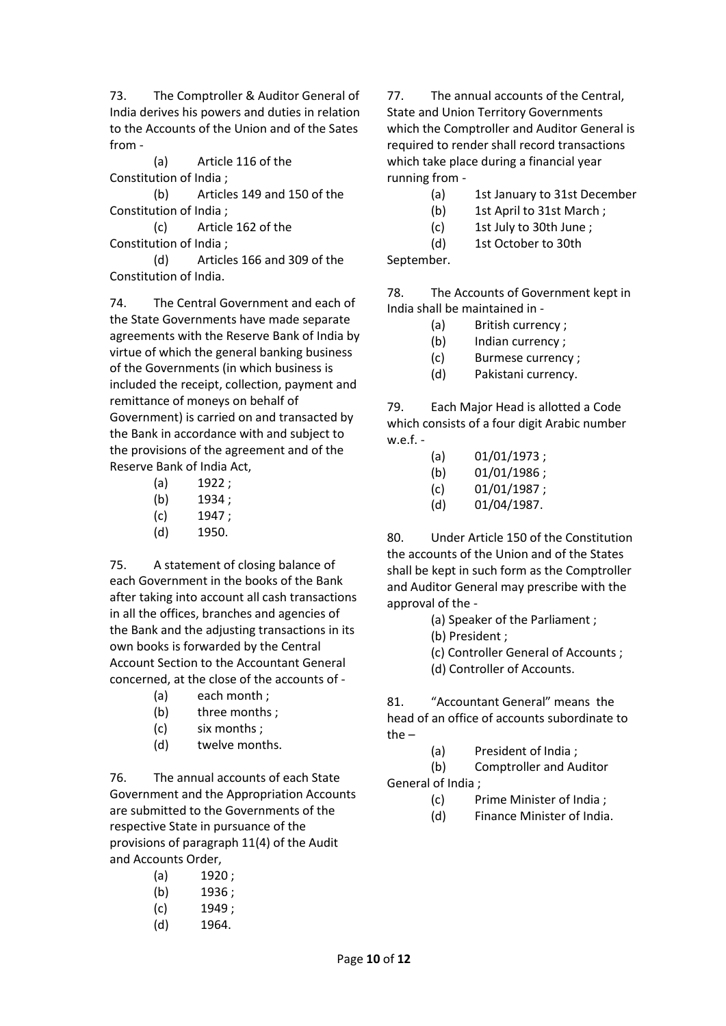73. The Comptroller & Auditor General of India derives his powers and duties in relation to the Accounts of the Union and of the Sates from -

(a) Article 116 of the Constitution of India ;

(b) Articles 149 and 150 of the Constitution of India ;

(c) Article 162 of the Constitution of India ;

(d) Articles 166 and 309 of the Constitution of India.

74. The Central Government and each of the State Governments have made separate agreements with the Reserve Bank of India by virtue of which the general banking business of the Governments (in which business is included the receipt, collection, payment and remittance of moneys on behalf of Government) is carried on and transacted by the Bank in accordance with and subject to the provisions of the agreement and of the Reserve Bank of India Act,

- (a) 1922 ;
- (b) 1934 :
- (c) 1947 ;
- (d) 1950.

75. A statement of closing balance of each Government in the books of the Bank after taking into account all cash transactions in all the offices, branches and agencies of the Bank and the adjusting transactions in its own books is forwarded by the Central Account Section to the Accountant General concerned, at the close of the accounts of -

- (a) each month ;
- (b) three months ;
- (c) six months ;
- (d) twelve months.

76. The annual accounts of each State Government and the Appropriation Accounts are submitted to the Governments of the respective State in pursuance of the provisions of paragraph 11(4) of the Audit and Accounts Order,

| (a) | 1920; |
|-----|-------|
|     |       |

- $(b)$  1936;
- (c) 1949 ;
- (d) 1964.

77. The annual accounts of the Central, State and Union Territory Governments which the Comptroller and Auditor General is required to render shall record transactions which take place during a financial year running from -

- (a) 1st January to 31st December
- (b) 1st April to 31st March ;
- (c) 1st July to 30th June ;
- (d) 1st October to 30th

September.

78. The Accounts of Government kept in India shall be maintained in -

- (a) British currency ;
- (b) Indian currency ;
- (c) Burmese currency ;
- (d) Pakistani currency.

79. Each Major Head is allotted a Code which consists of a four digit Arabic number w.e.f. -

- (a) 01/01/1973 ;
- (b) 01/01/1986 ;
- (c) 01/01/1987 ;
- (d) 01/04/1987.

80. Under Article 150 of the Constitution the accounts of the Union and of the States shall be kept in such form as the Comptroller and Auditor General may prescribe with the approval of the -

- (a) Speaker of the Parliament ;
- (b) President ;
- (c) Controller General of Accounts ;
- (d) Controller of Accounts.

81. "Accountant General" means the head of an office of accounts subordinate to the –

- (a) President of India ;
- (b) Comptroller and Auditor

General of India ;

- (c) Prime Minister of India ;
- (d) Finance Minister of India.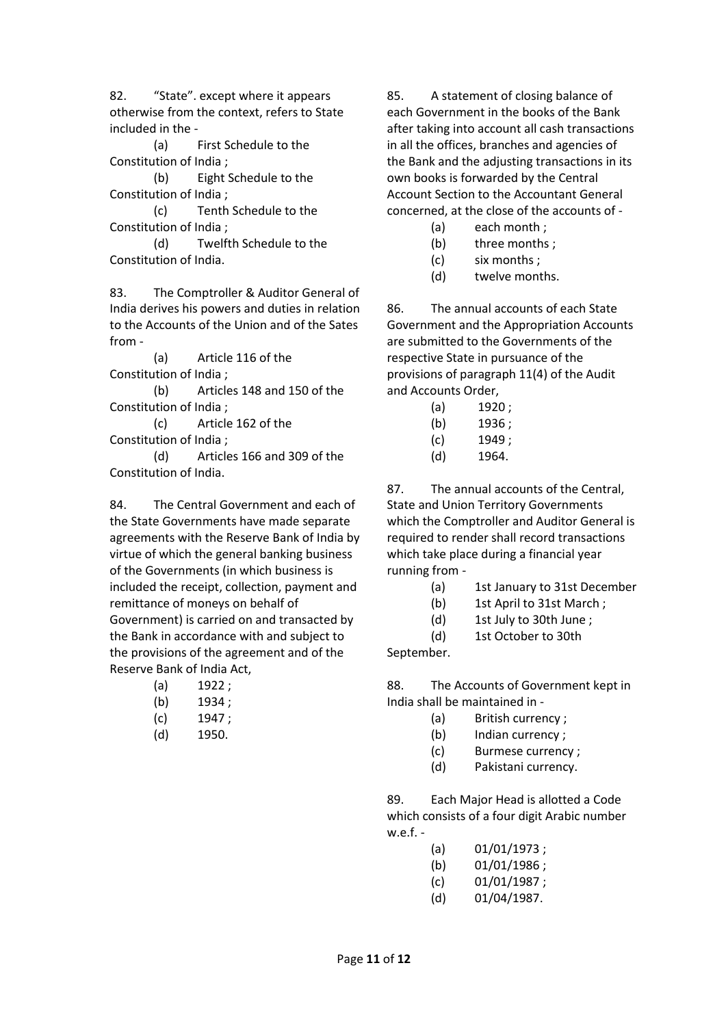82. "State". except where it appears otherwise from the context, refers to State included in the -

(a) First Schedule to the Constitution of India ;

(b) Eight Schedule to the Constitution of India ;

(c) Tenth Schedule to the Constitution of India ;

(d) Twelfth Schedule to the Constitution of India.

83. The Comptroller & Auditor General of India derives his powers and duties in relation to the Accounts of the Union and of the Sates from -

(a) Article 116 of the Constitution of India ;

(b) Articles 148 and 150 of the Constitution of India ;

(c) Article 162 of the Constitution of India ;

(d) Articles 166 and 309 of the Constitution of India.

84. The Central Government and each of the State Governments have made separate agreements with the Reserve Bank of India by virtue of which the general banking business of the Governments (in which business is included the receipt, collection, payment and remittance of moneys on behalf of Government) is carried on and transacted by the Bank in accordance with and subject to the provisions of the agreement and of the Reserve Bank of India Act,

- (a) 1922 ;
- (b) 1934;
- (c) 1947 ;
- (d) 1950.

85. A statement of closing balance of each Government in the books of the Bank after taking into account all cash transactions in all the offices, branches and agencies of the Bank and the adjusting transactions in its own books is forwarded by the Central Account Section to the Accountant General concerned, at the close of the accounts of -

- (a) each month ;
- (b) three months ;
- (c) six months ;
- (d) twelve months.

86. The annual accounts of each State Government and the Appropriation Accounts are submitted to the Governments of the respective State in pursuance of the provisions of paragraph 11(4) of the Audit and Accounts Order,

- (a) 1920 ;
- (b) 1936 :
- (c) 1949 ;
- (d) 1964.

87. The annual accounts of the Central, State and Union Territory Governments which the Comptroller and Auditor General is required to render shall record transactions which take place during a financial year running from -

- (a) 1st January to 31st December
- (b) 1st April to 31st March ;
- (d) 1st July to 30th June ;
- (d) 1st October to 30th

September.

88. The Accounts of Government kept in India shall be maintained in -

- (a) British currency ;
- (b) Indian currency ;
- (c) Burmese currency ;
- (d) Pakistani currency.

89. Each Major Head is allotted a Code which consists of a four digit Arabic number w.e.f. -

- (a) 01/01/1973 ;
- (b)  $01/01/1986$ ;
- (c) 01/01/1987 ;
- (d) 01/04/1987.